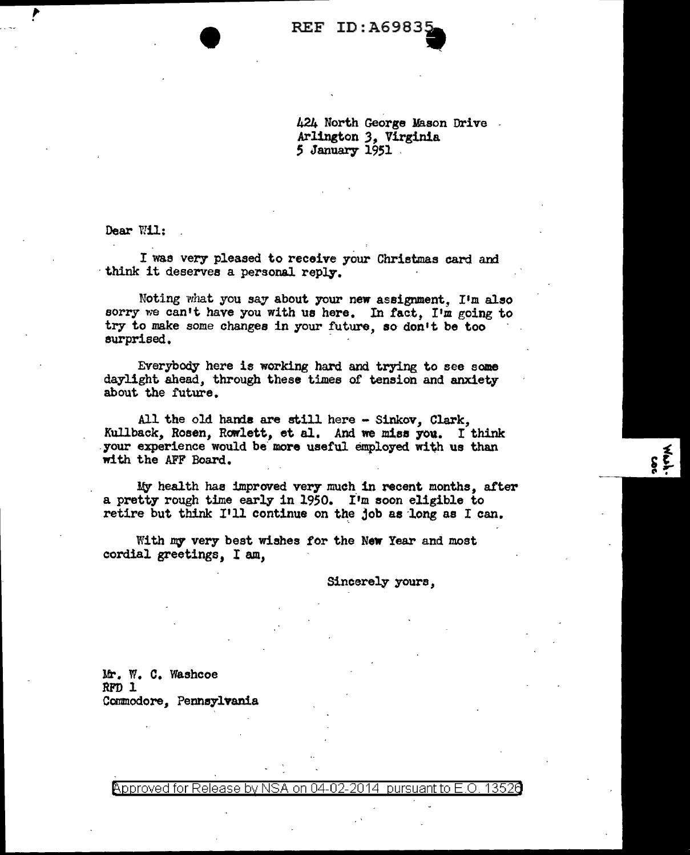REF ID:A6983-

424 North George Mason Drive Arlington 3, Virginia<br>5 January 1951

Dear Wil:

,.

I was very pleased to receive your Christmas card and think it deserves a personal reply.

Noting what you say about your new assignment, I•m also sorry we can't have you with us here. In fact, I'm going to try to make some changes in your future, so don't be too surprised.

Everybody here is working hard and trying to see some daylight ahead, through these times of tension and anxiety about the future.

All the old hands are still here - Sinkov, Clark, Kullback, Rosen, Rowlett, et al. And we miss you. I think your experience would be more useful employed with us than with the AFF Board.

My health has improved very much in recent months, atter a pretty rough time early in 1950. I'm soon eligible to retire but think I'll continue on the job as long as I can.

With my very best wishes for the New Year and most cordial greetings, I *am,* 

Sincerely yours,

Mr. W. c. Washcoe RFD 1 Commodore, Pennsylvania

@'pproved for Release by NSA on 04-02-2014 pursuantto E.O. 1352a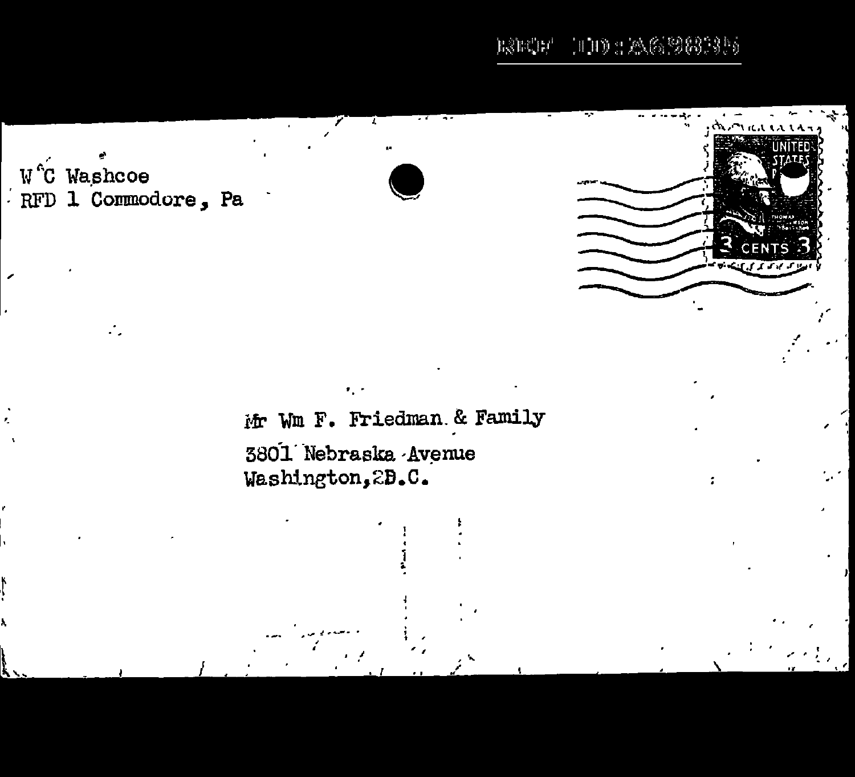ESECH 100 : A698335

W<sup>°</sup>C Washcoe RFD 1 Commodore, Pa

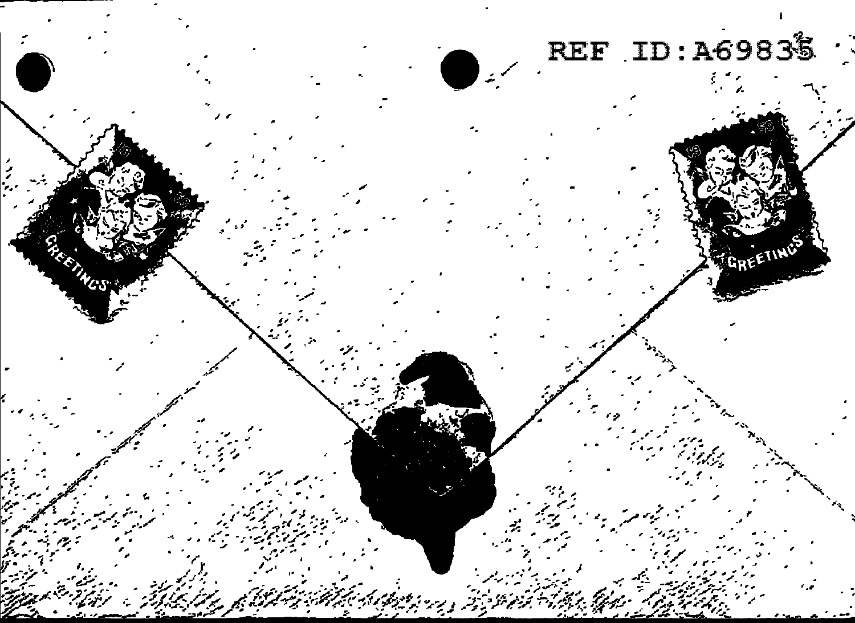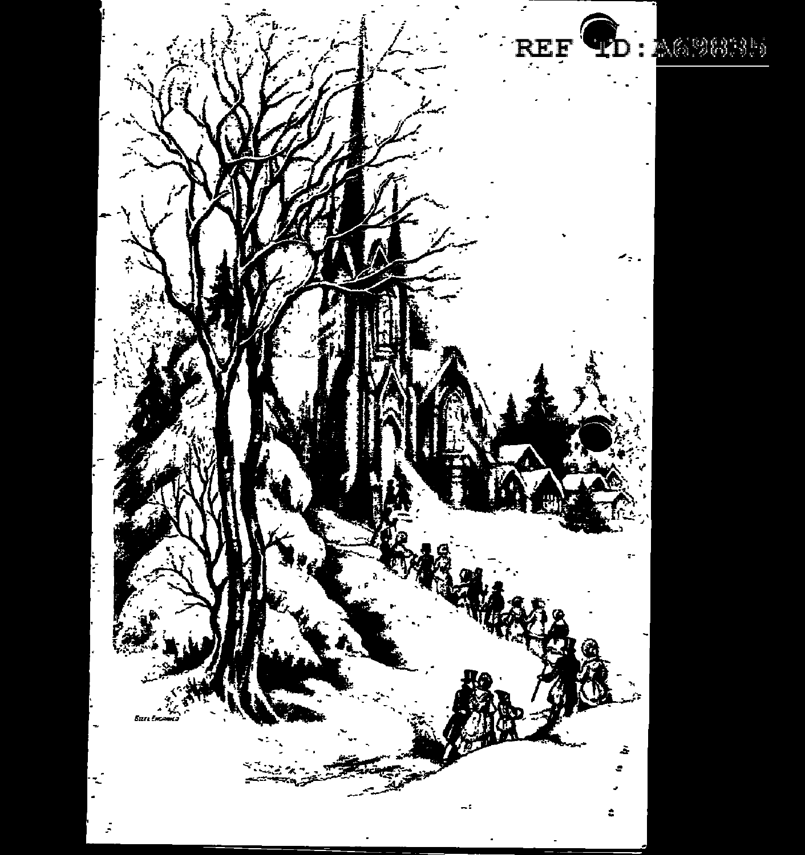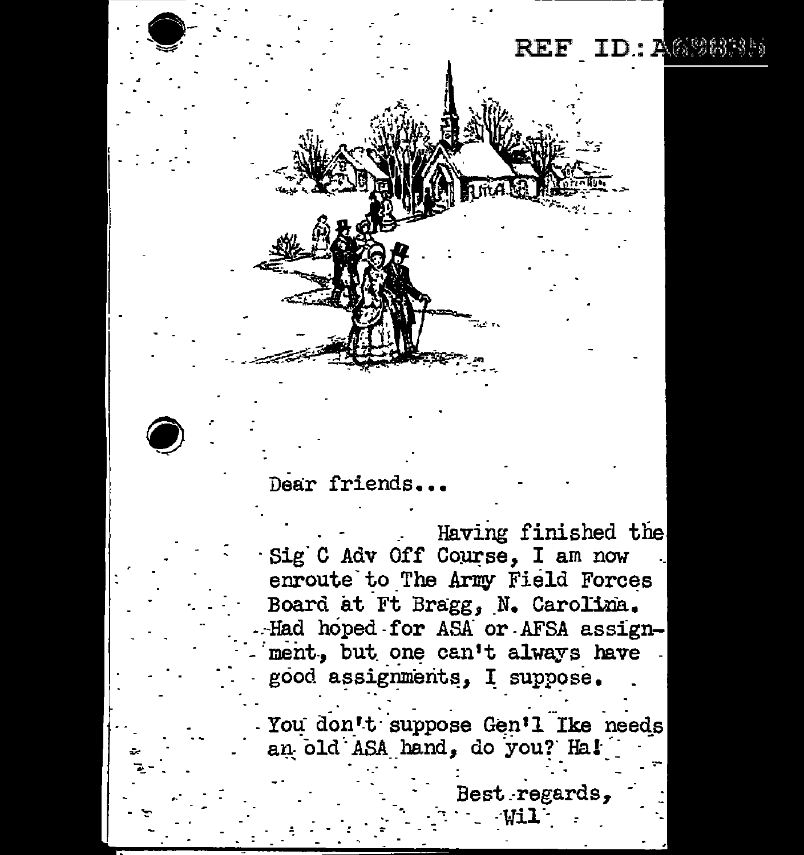